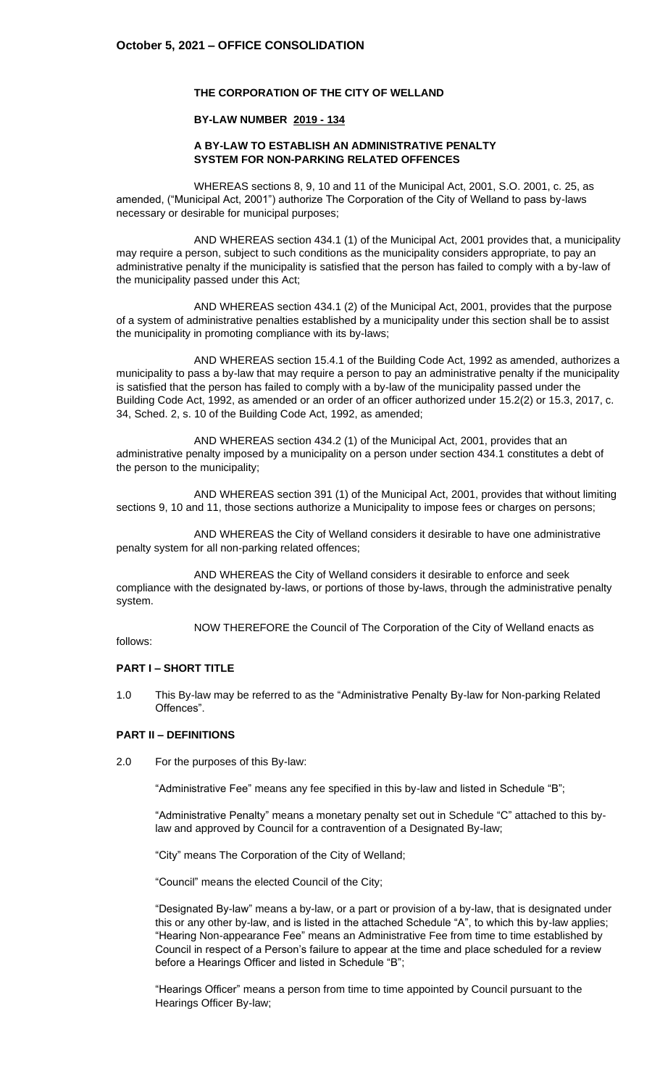### **THE CORPORATION OF THE CITY OF WELLAND**

#### **BY-LAW NUMBER 2019 - 134**

#### **A BY-LAW TO ESTABLISH AN ADMINISTRATIVE PENALTY SYSTEM FOR NON-PARKING RELATED OFFENCES**

WHEREAS sections 8, 9, 10 and 11 of the Municipal Act, 2001, S.O. 2001, c. 25, as amended, ("Municipal Act, 2001") authorize The Corporation of the City of Welland to pass by-laws necessary or desirable for municipal purposes;

AND WHEREAS section 434.1 (1) of the Municipal Act, 2001 provides that, a municipality may require a person, subject to such conditions as the municipality considers appropriate, to pay an administrative penalty if the municipality is satisfied that the person has failed to comply with a by-law of the municipality passed under this Act;

AND WHEREAS section 434.1 (2) of the Municipal Act, 2001, provides that the purpose of a system of administrative penalties established by a municipality under this section shall be to assist the municipality in promoting compliance with its by-laws;

AND WHEREAS section 15.4.1 of the Building Code Act, 1992 as amended, authorizes a municipality to pass a by-law that may require a person to pay an administrative penalty if the municipality is satisfied that the person has failed to comply with a by-law of the municipality passed under the Building Code Act, 1992, as amended or an order of an officer authorized under 15.2(2) or 15.3, 2017, c. 34, Sched. 2, s. 10 of the Building Code Act, 1992, as amended;

AND WHEREAS section 434.2 (1) of the Municipal Act, 2001, provides that an administrative penalty imposed by a municipality on a person under section 434.1 constitutes a debt of the person to the municipality;

AND WHEREAS section 391 (1) of the Municipal Act, 2001, provides that without limiting sections 9, 10 and 11, those sections authorize a Municipality to impose fees or charges on persons;

AND WHEREAS the City of Welland considers it desirable to have one administrative penalty system for all non-parking related offences;

AND WHEREAS the City of Welland considers it desirable to enforce and seek compliance with the designated by-laws, or portions of those by-laws, through the administrative penalty system.

NOW THEREFORE the Council of The Corporation of the City of Welland enacts as

follows:

### **PART I – SHORT TITLE**

1.0 This By-law may be referred to as the "Administrative Penalty By-law for Non-parking Related Offences".

#### **PART II – DEFINITIONS**

2.0 For the purposes of this By-law:

"Administrative Fee" means any fee specified in this by-law and listed in Schedule "B";

"Administrative Penalty" means a monetary penalty set out in Schedule "C" attached to this bylaw and approved by Council for a contravention of a Designated By-law;

"City" means The Corporation of the City of Welland;

"Council" means the elected Council of the City;

"Designated By-law" means a by-law, or a part or provision of a by-law, that is designated under this or any other by-law, and is listed in the attached Schedule "A", to which this by-law applies; "Hearing Non-appearance Fee" means an Administrative Fee from time to time established by Council in respect of a Person's failure to appear at the time and place scheduled for a review before a Hearings Officer and listed in Schedule "B";

"Hearings Officer" means a person from time to time appointed by Council pursuant to the Hearings Officer By-law;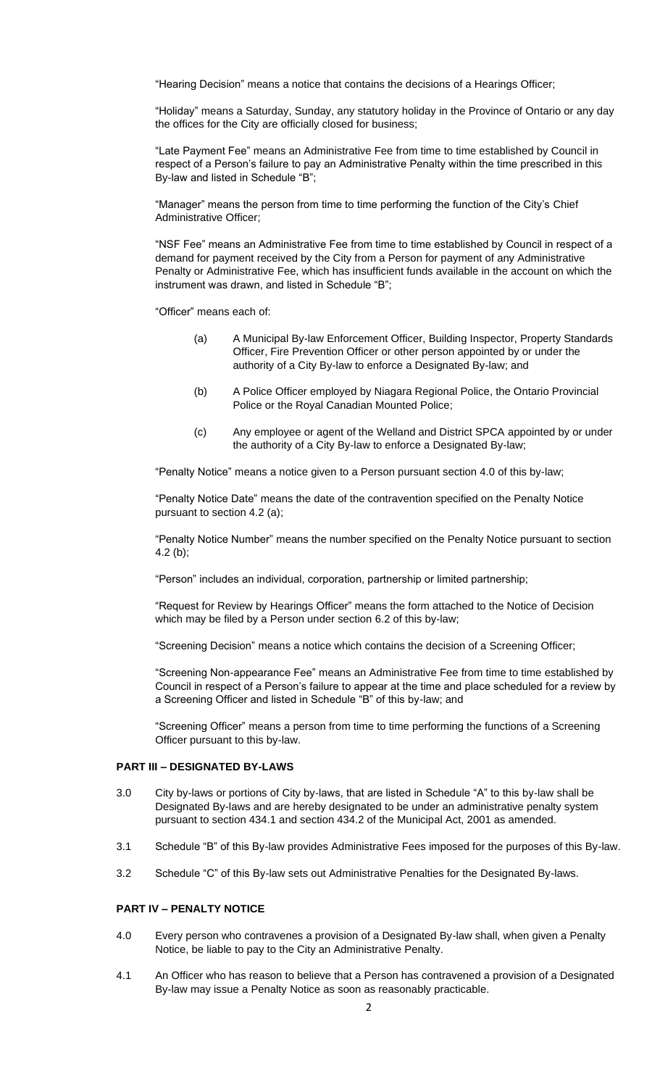"Hearing Decision" means a notice that contains the decisions of a Hearings Officer;

"Holiday" means a Saturday, Sunday, any statutory holiday in the Province of Ontario or any day the offices for the City are officially closed for business;

"Late Payment Fee" means an Administrative Fee from time to time established by Council in respect of a Person's failure to pay an Administrative Penalty within the time prescribed in this By-law and listed in Schedule "B";

"Manager" means the person from time to time performing the function of the City's Chief Administrative Officer;

"NSF Fee" means an Administrative Fee from time to time established by Council in respect of a demand for payment received by the City from a Person for payment of any Administrative Penalty or Administrative Fee, which has insufficient funds available in the account on which the instrument was drawn, and listed in Schedule "B";

"Officer" means each of:

- (a) A Municipal By-law Enforcement Officer, Building Inspector, Property Standards Officer, Fire Prevention Officer or other person appointed by or under the authority of a City By-law to enforce a Designated By-law; and
- (b) A Police Officer employed by Niagara Regional Police, the Ontario Provincial Police or the Royal Canadian Mounted Police;
- (c) Any employee or agent of the Welland and District SPCA appointed by or under the authority of a City By-law to enforce a Designated By-law;

"Penalty Notice" means a notice given to a Person pursuant section 4.0 of this by-law;

"Penalty Notice Date" means the date of the contravention specified on the Penalty Notice pursuant to section 4.2 (a);

"Penalty Notice Number" means the number specified on the Penalty Notice pursuant to section 4.2 (b);

"Person" includes an individual, corporation, partnership or limited partnership;

"Request for Review by Hearings Officer" means the form attached to the Notice of Decision which may be filed by a Person under section 6.2 of this by-law;

"Screening Decision" means a notice which contains the decision of a Screening Officer;

"Screening Non-appearance Fee" means an Administrative Fee from time to time established by Council in respect of a Person's failure to appear at the time and place scheduled for a review by a Screening Officer and listed in Schedule "B" of this by-law; and

"Screening Officer" means a person from time to time performing the functions of a Screening Officer pursuant to this by-law.

### **PART III – DESIGNATED BY-LAWS**

- 3.0 City by-laws or portions of City by-laws, that are listed in Schedule "A" to this by-law shall be Designated By-laws and are hereby designated to be under an administrative penalty system pursuant to section 434.1 and section 434.2 of the Municipal Act, 2001 as amended.
- 3.1 Schedule "B" of this By-law provides Administrative Fees imposed for the purposes of this By-law.
- 3.2 Schedule "C" of this By-law sets out Administrative Penalties for the Designated By-laws.

#### **PART IV – PENALTY NOTICE**

- 4.0 Every person who contravenes a provision of a Designated By-law shall, when given a Penalty Notice, be liable to pay to the City an Administrative Penalty.
- 4.1 An Officer who has reason to believe that a Person has contravened a provision of a Designated By-law may issue a Penalty Notice as soon as reasonably practicable.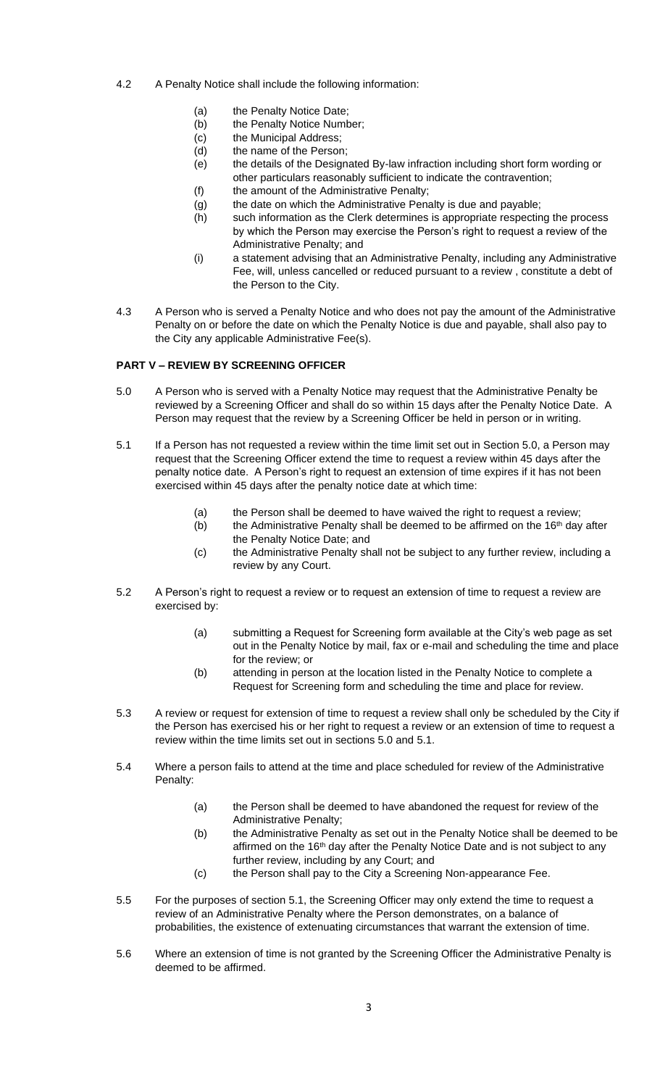- 4.2 A Penalty Notice shall include the following information:
	- (a) the Penalty Notice Date;
	- (b) the Penalty Notice Number;
	- (c) the Municipal Address;
	- (d) the name of the Person;
	- (e) the details of the Designated By-law infraction including short form wording or other particulars reasonably sufficient to indicate the contravention;
	- (f) the amount of the Administrative Penalty;
	- (g) the date on which the Administrative Penalty is due and payable;
	- (h) such information as the Clerk determines is appropriate respecting the process by which the Person may exercise the Person's right to request a review of the Administrative Penalty; and
	- (i) a statement advising that an Administrative Penalty, including any Administrative Fee, will, unless cancelled or reduced pursuant to a review , constitute a debt of the Person to the City.
- 4.3 A Person who is served a Penalty Notice and who does not pay the amount of the Administrative Penalty on or before the date on which the Penalty Notice is due and payable, shall also pay to the City any applicable Administrative Fee(s).

### **PART V – REVIEW BY SCREENING OFFICER**

- 5.0 A Person who is served with a Penalty Notice may request that the Administrative Penalty be reviewed by a Screening Officer and shall do so within 15 days after the Penalty Notice Date. A Person may request that the review by a Screening Officer be held in person or in writing.
- 5.1 If a Person has not requested a review within the time limit set out in Section 5.0, a Person may request that the Screening Officer extend the time to request a review within 45 days after the penalty notice date. A Person's right to request an extension of time expires if it has not been exercised within 45 days after the penalty notice date at which time:
	- (a) the Person shall be deemed to have waived the right to request a review;
	- (b) the Administrative Penalty shall be deemed to be affirmed on the  $16<sup>th</sup>$  day after the Penalty Notice Date; and
	- (c) the Administrative Penalty shall not be subject to any further review, including a review by any Court.
- 5.2 A Person's right to request a review or to request an extension of time to request a review are exercised by:
	- (a) submitting a Request for Screening form available at the City's web page as set out in the Penalty Notice by mail, fax or e-mail and scheduling the time and place for the review; or
	- (b) attending in person at the location listed in the Penalty Notice to complete a Request for Screening form and scheduling the time and place for review.
- 5.3 A review or request for extension of time to request a review shall only be scheduled by the City if the Person has exercised his or her right to request a review or an extension of time to request a review within the time limits set out in sections 5.0 and 5.1.
- 5.4 Where a person fails to attend at the time and place scheduled for review of the Administrative Penalty:
	- (a) the Person shall be deemed to have abandoned the request for review of the Administrative Penalty;
	- (b) the Administrative Penalty as set out in the Penalty Notice shall be deemed to be affirmed on the 16<sup>th</sup> day after the Penalty Notice Date and is not subject to any further review, including by any Court; and
	- (c) the Person shall pay to the City a Screening Non-appearance Fee.
- 5.5 For the purposes of section 5.1, the Screening Officer may only extend the time to request a review of an Administrative Penalty where the Person demonstrates, on a balance of probabilities, the existence of extenuating circumstances that warrant the extension of time.
- 5.6 Where an extension of time is not granted by the Screening Officer the Administrative Penalty is deemed to be affirmed.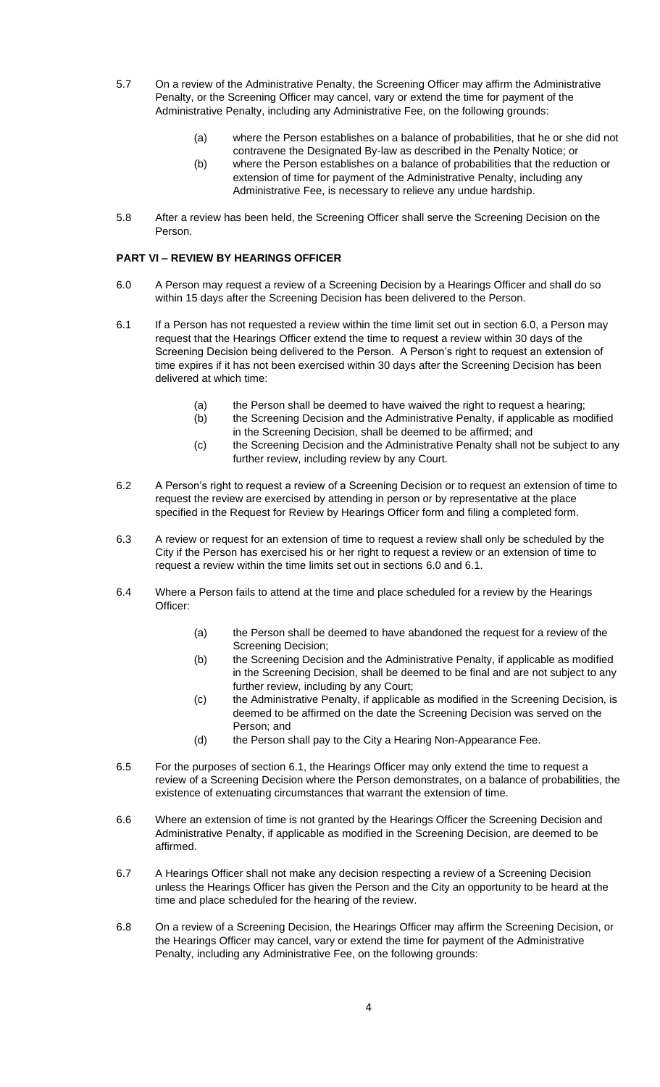- 5.7 On a review of the Administrative Penalty, the Screening Officer may affirm the Administrative Penalty, or the Screening Officer may cancel, vary or extend the time for payment of the Administrative Penalty, including any Administrative Fee, on the following grounds:
	- (a) where the Person establishes on a balance of probabilities, that he or she did not contravene the Designated By-law as described in the Penalty Notice; or
	- (b) where the Person establishes on a balance of probabilities that the reduction or extension of time for payment of the Administrative Penalty, including any Administrative Fee, is necessary to relieve any undue hardship.
- 5.8 After a review has been held, the Screening Officer shall serve the Screening Decision on the Person.

### **PART VI – REVIEW BY HEARINGS OFFICER**

- 6.0 A Person may request a review of a Screening Decision by a Hearings Officer and shall do so within 15 days after the Screening Decision has been delivered to the Person.
- 6.1 If a Person has not requested a review within the time limit set out in section 6.0, a Person may request that the Hearings Officer extend the time to request a review within 30 days of the Screening Decision being delivered to the Person. A Person's right to request an extension of time expires if it has not been exercised within 30 days after the Screening Decision has been delivered at which time:
	- (a) the Person shall be deemed to have waived the right to request a hearing;
	- (b) the Screening Decision and the Administrative Penalty, if applicable as modified in the Screening Decision, shall be deemed to be affirmed; and
	- (c) the Screening Decision and the Administrative Penalty shall not be subject to any further review, including review by any Court.
- 6.2 A Person's right to request a review of a Screening Decision or to request an extension of time to request the review are exercised by attending in person or by representative at the place specified in the Request for Review by Hearings Officer form and filing a completed form.
- 6.3 A review or request for an extension of time to request a review shall only be scheduled by the City if the Person has exercised his or her right to request a review or an extension of time to request a review within the time limits set out in sections 6.0 and 6.1.
- 6.4 Where a Person fails to attend at the time and place scheduled for a review by the Hearings Officer:
	- (a) the Person shall be deemed to have abandoned the request for a review of the Screening Decision;
	- (b) the Screening Decision and the Administrative Penalty, if applicable as modified in the Screening Decision, shall be deemed to be final and are not subject to any further review, including by any Court;
	- (c) the Administrative Penalty, if applicable as modified in the Screening Decision, is deemed to be affirmed on the date the Screening Decision was served on the Person; and
	- (d) the Person shall pay to the City a Hearing Non-Appearance Fee.
- 6.5 For the purposes of section 6.1, the Hearings Officer may only extend the time to request a review of a Screening Decision where the Person demonstrates, on a balance of probabilities, the existence of extenuating circumstances that warrant the extension of time.
- 6.6 Where an extension of time is not granted by the Hearings Officer the Screening Decision and Administrative Penalty, if applicable as modified in the Screening Decision, are deemed to be affirmed.
- 6.7 A Hearings Officer shall not make any decision respecting a review of a Screening Decision unless the Hearings Officer has given the Person and the City an opportunity to be heard at the time and place scheduled for the hearing of the review.
- 6.8 On a review of a Screening Decision, the Hearings Officer may affirm the Screening Decision, or the Hearings Officer may cancel, vary or extend the time for payment of the Administrative Penalty, including any Administrative Fee, on the following grounds: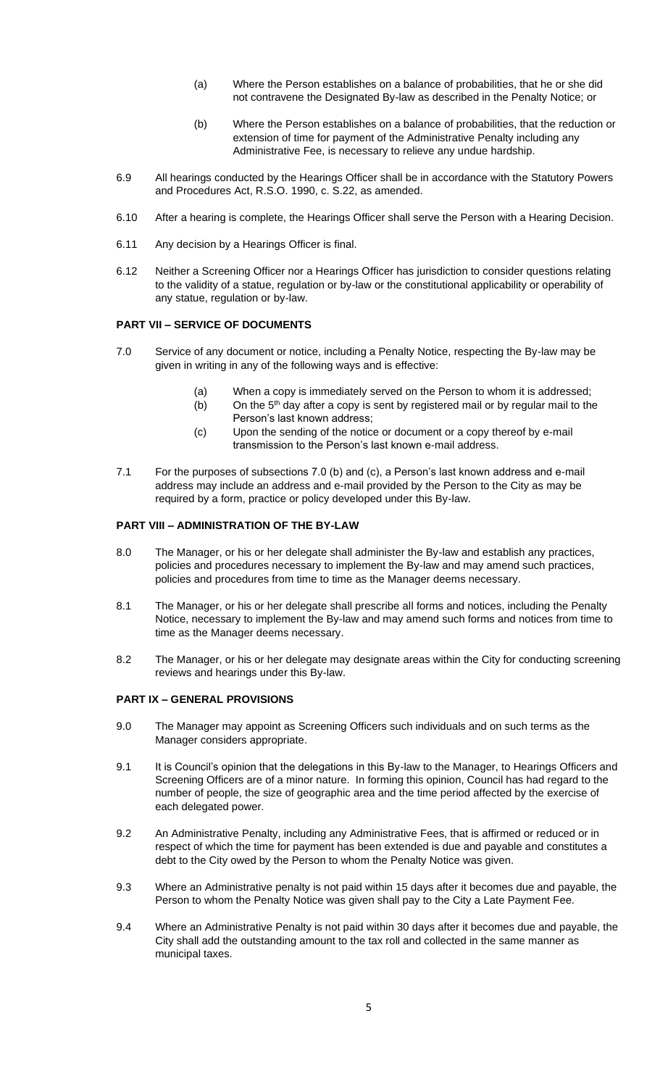- (a) Where the Person establishes on a balance of probabilities, that he or she did not contravene the Designated By-law as described in the Penalty Notice; or
- (b) Where the Person establishes on a balance of probabilities, that the reduction or extension of time for payment of the Administrative Penalty including any Administrative Fee, is necessary to relieve any undue hardship.
- 6.9 All hearings conducted by the Hearings Officer shall be in accordance with the Statutory Powers and Procedures Act, R.S.O. 1990, c. S.22, as amended.
- 6.10 After a hearing is complete, the Hearings Officer shall serve the Person with a Hearing Decision.
- 6.11 Any decision by a Hearings Officer is final.
- 6.12 Neither a Screening Officer nor a Hearings Officer has jurisdiction to consider questions relating to the validity of a statue, regulation or by-law or the constitutional applicability or operability of any statue, regulation or by-law.

### **PART VII – SERVICE OF DOCUMENTS**

- 7.0 Service of any document or notice, including a Penalty Notice, respecting the By-law may be given in writing in any of the following ways and is effective:
	- (a) When a copy is immediately served on the Person to whom it is addressed;
	- (b) On the  $5<sup>th</sup>$  day after a copy is sent by registered mail or by regular mail to the Person's last known address;
	- (c) Upon the sending of the notice or document or a copy thereof by e-mail transmission to the Person's last known e-mail address.
- 7.1 For the purposes of subsections 7.0 (b) and (c), a Person's last known address and e-mail address may include an address and e-mail provided by the Person to the City as may be required by a form, practice or policy developed under this By-law.

### **PART VIII – ADMINISTRATION OF THE BY-LAW**

- 8.0 The Manager, or his or her delegate shall administer the By-law and establish any practices, policies and procedures necessary to implement the By-law and may amend such practices, policies and procedures from time to time as the Manager deems necessary.
- 8.1 The Manager, or his or her delegate shall prescribe all forms and notices, including the Penalty Notice, necessary to implement the By-law and may amend such forms and notices from time to time as the Manager deems necessary.
- 8.2 The Manager, or his or her delegate may designate areas within the City for conducting screening reviews and hearings under this By-law.

#### **PART IX – GENERAL PROVISIONS**

- 9.0 The Manager may appoint as Screening Officers such individuals and on such terms as the Manager considers appropriate.
- 9.1 It is Council's opinion that the delegations in this By-law to the Manager, to Hearings Officers and Screening Officers are of a minor nature. In forming this opinion, Council has had regard to the number of people, the size of geographic area and the time period affected by the exercise of each delegated power.
- 9.2 An Administrative Penalty, including any Administrative Fees, that is affirmed or reduced or in respect of which the time for payment has been extended is due and payable and constitutes a debt to the City owed by the Person to whom the Penalty Notice was given.
- 9.3 Where an Administrative penalty is not paid within 15 days after it becomes due and payable, the Person to whom the Penalty Notice was given shall pay to the City a Late Payment Fee.
- 9.4 Where an Administrative Penalty is not paid within 30 days after it becomes due and payable, the City shall add the outstanding amount to the tax roll and collected in the same manner as municipal taxes.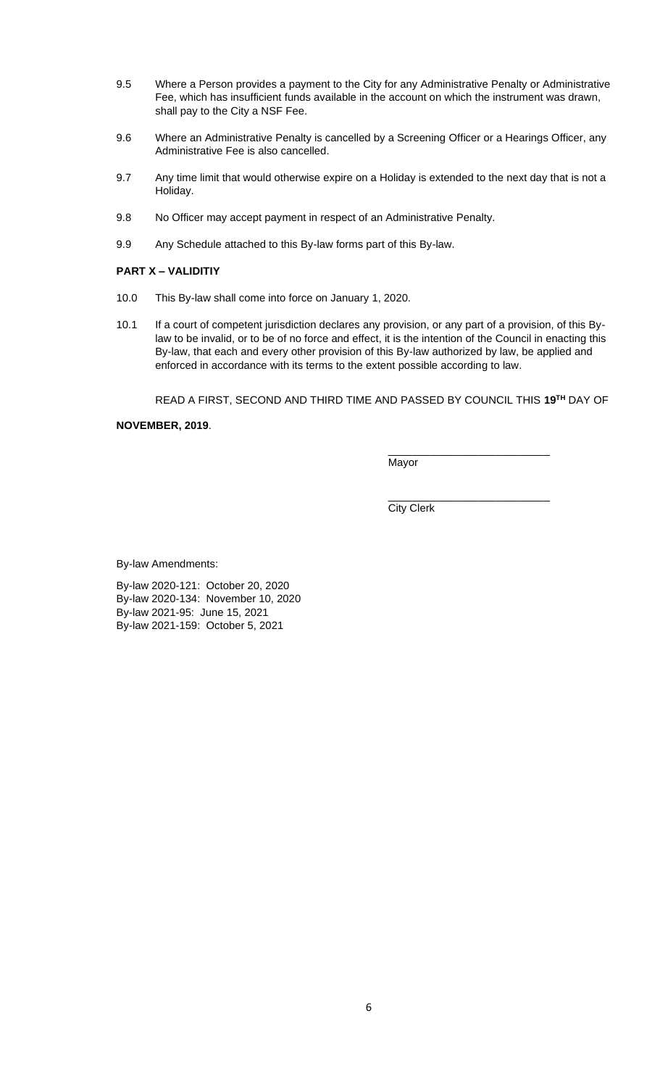- 9.5 Where a Person provides a payment to the City for any Administrative Penalty or Administrative Fee, which has insufficient funds available in the account on which the instrument was drawn, shall pay to the City a NSF Fee.
- 9.6 Where an Administrative Penalty is cancelled by a Screening Officer or a Hearings Officer, any Administrative Fee is also cancelled.
- 9.7 Any time limit that would otherwise expire on a Holiday is extended to the next day that is not a Holiday.
- 9.8 No Officer may accept payment in respect of an Administrative Penalty.
- 9.9 Any Schedule attached to this By-law forms part of this By-law.

#### **PART X – VALIDITIY**

- 10.0 This By-law shall come into force on January 1, 2020.
- 10.1 If a court of competent jurisdiction declares any provision, or any part of a provision, of this Bylaw to be invalid, or to be of no force and effect, it is the intention of the Council in enacting this By-law, that each and every other provision of this By-law authorized by law, be applied and enforced in accordance with its terms to the extent possible according to law.

READ A FIRST, SECOND AND THIRD TIME AND PASSED BY COUNCIL THIS **19TH** DAY OF

**NOVEMBER, 2019**.

\_\_\_\_\_\_\_\_\_\_\_\_\_\_\_\_\_\_\_\_\_\_\_\_\_\_\_ Mayor

\_\_\_\_\_\_\_\_\_\_\_\_\_\_\_\_\_\_\_\_\_\_\_\_\_\_\_ City Clerk

By-law Amendments:

By-law 2020-121: October 20, 2020 By-law 2020-134: November 10, 2020 By-law 2021-95: June 15, 2021 By-law 2021-159: October 5, 2021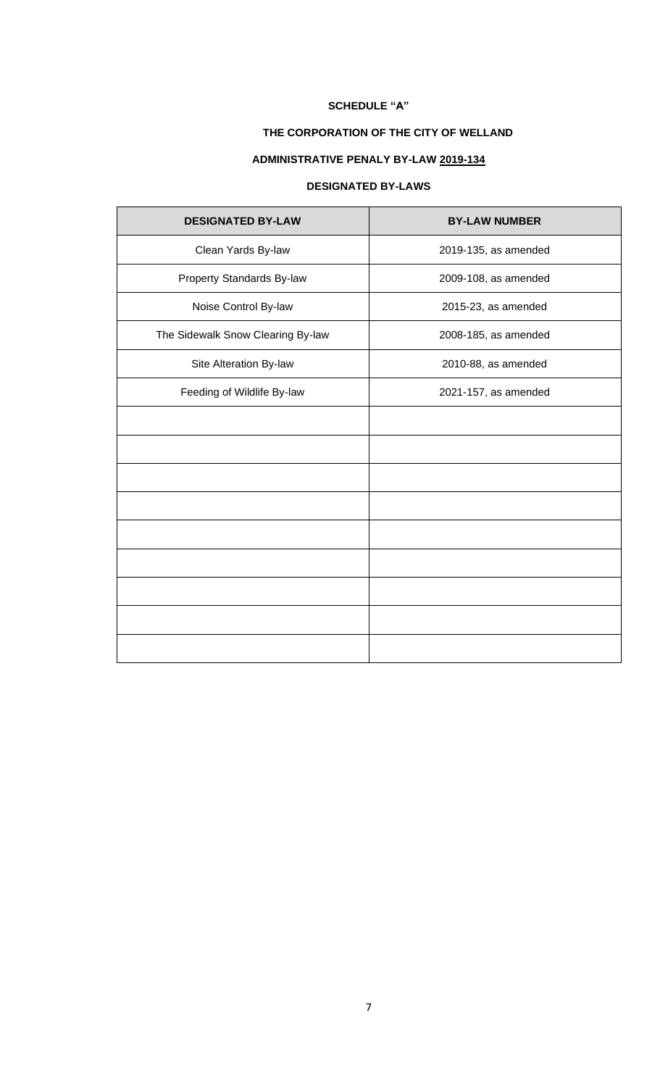# **THE CORPORATION OF THE CITY OF WELLAND**

# **ADMINISTRATIVE PENALY BY-LAW 2019-134**

### **DESIGNATED BY-LAWS**

| <b>DESIGNATED BY-LAW</b>          | <b>BY-LAW NUMBER</b> |
|-----------------------------------|----------------------|
| Clean Yards By-law                | 2019-135, as amended |
| Property Standards By-law         | 2009-108, as amended |
| Noise Control By-law              | 2015-23, as amended  |
| The Sidewalk Snow Clearing By-law | 2008-185, as amended |
| Site Alteration By-law            | 2010-88, as amended  |
| Feeding of Wildlife By-law        | 2021-157, as amended |
|                                   |                      |
|                                   |                      |
|                                   |                      |
|                                   |                      |
|                                   |                      |
|                                   |                      |
|                                   |                      |
|                                   |                      |
|                                   |                      |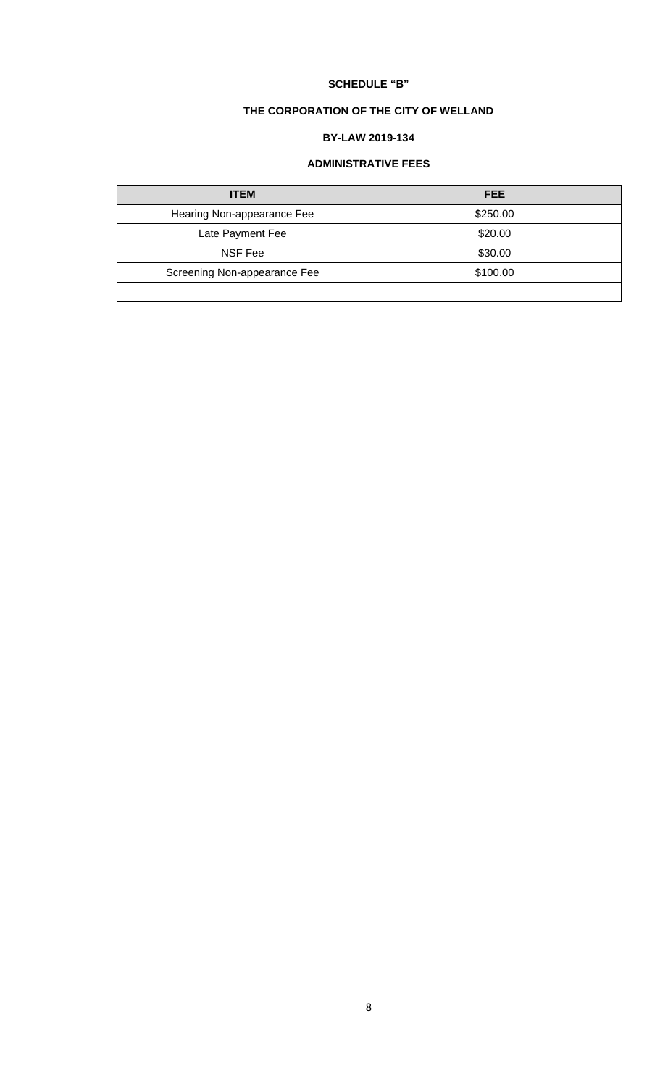# **THE CORPORATION OF THE CITY OF WELLAND**

# **BY-LAW 2019-134**

# **ADMINISTRATIVE FEES**

| <b>ITEM</b>                  | <b>FEE</b> |
|------------------------------|------------|
| Hearing Non-appearance Fee   | \$250.00   |
| Late Payment Fee             | \$20.00    |
| NSF Fee                      | \$30.00    |
| Screening Non-appearance Fee | \$100.00   |
|                              |            |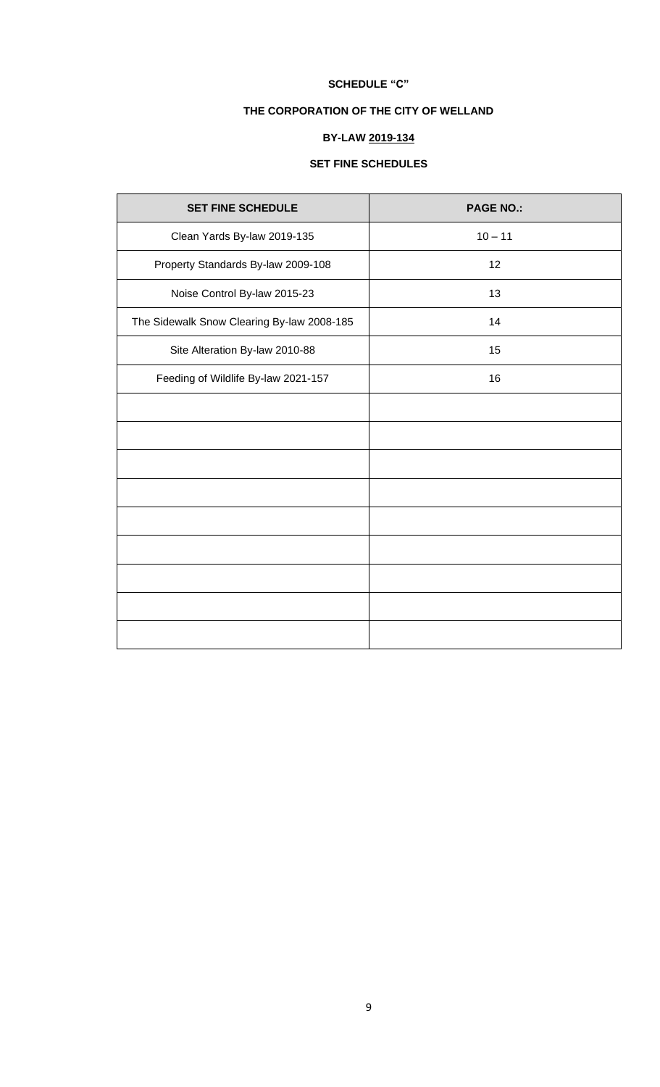# **THE CORPORATION OF THE CITY OF WELLAND**

# **BY-LAW 2019-134**

# **SET FINE SCHEDULES**

| <b>SET FINE SCHEDULE</b>                   | <b>PAGE NO.:</b> |
|--------------------------------------------|------------------|
| Clean Yards By-law 2019-135                | $10 - 11$        |
| Property Standards By-law 2009-108         | 12               |
| Noise Control By-law 2015-23               | 13               |
| The Sidewalk Snow Clearing By-law 2008-185 | 14               |
| Site Alteration By-law 2010-88             | 15               |
| Feeding of Wildlife By-law 2021-157        | 16               |
|                                            |                  |
|                                            |                  |
|                                            |                  |
|                                            |                  |
|                                            |                  |
|                                            |                  |
|                                            |                  |
|                                            |                  |
|                                            |                  |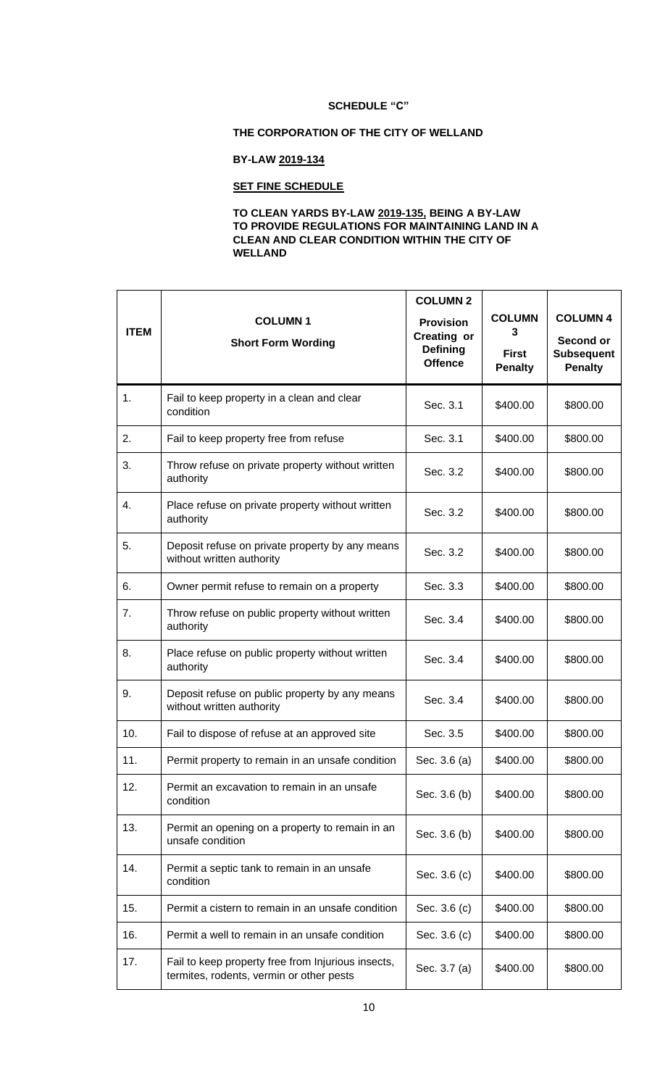### **THE CORPORATION OF THE CITY OF WELLAND**

### **BY-LAW 2019-134**

# **SET FINE SCHEDULE**

### **TO CLEAN YARDS BY-LAW 2019-135, BEING A BY-LAW TO PROVIDE REGULATIONS FOR MAINTAINING LAND IN A CLEAN AND CLEAR CONDITION WITHIN THE CITY OF WELLAND**

|             |                                                                                                | <b>COLUMN 2</b>                                                             |                                                      |                                                                     |
|-------------|------------------------------------------------------------------------------------------------|-----------------------------------------------------------------------------|------------------------------------------------------|---------------------------------------------------------------------|
| <b>ITEM</b> | <b>COLUMN1</b><br><b>Short Form Wording</b>                                                    | <b>Provision</b><br><b>Creating or</b><br><b>Defining</b><br><b>Offence</b> | <b>COLUMN</b><br>3<br><b>First</b><br><b>Penalty</b> | <b>COLUMN 4</b><br>Second or<br><b>Subsequent</b><br><b>Penalty</b> |
| 1.          | Fail to keep property in a clean and clear<br>condition                                        | Sec. 3.1                                                                    | \$400.00                                             | \$800.00                                                            |
| 2.          | Fail to keep property free from refuse                                                         | Sec. 3.1                                                                    | \$400.00                                             | \$800.00                                                            |
| 3.          | Throw refuse on private property without written<br>authority                                  | Sec. 3.2                                                                    | \$400.00                                             | \$800.00                                                            |
| 4.          | Place refuse on private property without written<br>authority                                  | Sec. 3.2                                                                    | \$400.00                                             | \$800.00                                                            |
| 5.          | Deposit refuse on private property by any means<br>without written authority                   | Sec. 3.2                                                                    | \$400.00                                             | \$800.00                                                            |
| 6.          | Owner permit refuse to remain on a property                                                    | Sec. 3.3                                                                    | \$400.00                                             | \$800.00                                                            |
| 7.          | Throw refuse on public property without written<br>authority                                   | Sec. 3.4                                                                    | \$400.00                                             | \$800.00                                                            |
| 8.          | Place refuse on public property without written<br>authority                                   | Sec. 3.4                                                                    | \$400.00                                             | \$800.00                                                            |
| 9.          | Deposit refuse on public property by any means<br>without written authority                    | Sec. 3.4                                                                    | \$400.00                                             | \$800.00                                                            |
| 10.         | Fail to dispose of refuse at an approved site                                                  | Sec. 3.5                                                                    | \$400.00                                             | \$800.00                                                            |
| 11.         | Permit property to remain in an unsafe condition                                               | Sec. 3.6 (a)                                                                | \$400.00                                             | \$800.00                                                            |
| 12.         | Permit an excavation to remain in an unsafe<br>condition                                       | Sec. 3.6 (b)                                                                | \$400.00                                             | \$800.00                                                            |
| 13.         | Permit an opening on a property to remain in an<br>unsafe condition                            | Sec. 3.6 (b)                                                                | \$400.00                                             | \$800.00                                                            |
| 14.         | Permit a septic tank to remain in an unsafe<br>condition                                       | Sec. 3.6 (c)                                                                | \$400.00                                             | \$800.00                                                            |
| 15.         | Permit a cistern to remain in an unsafe condition                                              | Sec. 3.6 (c)                                                                | \$400.00                                             | \$800.00                                                            |
| 16.         | Permit a well to remain in an unsafe condition                                                 | Sec. 3.6 (c)                                                                | \$400.00                                             | \$800.00                                                            |
| 17.         | Fail to keep property free from Injurious insects,<br>termites, rodents, vermin or other pests | Sec. 3.7 (a)                                                                | \$400.00                                             | \$800.00                                                            |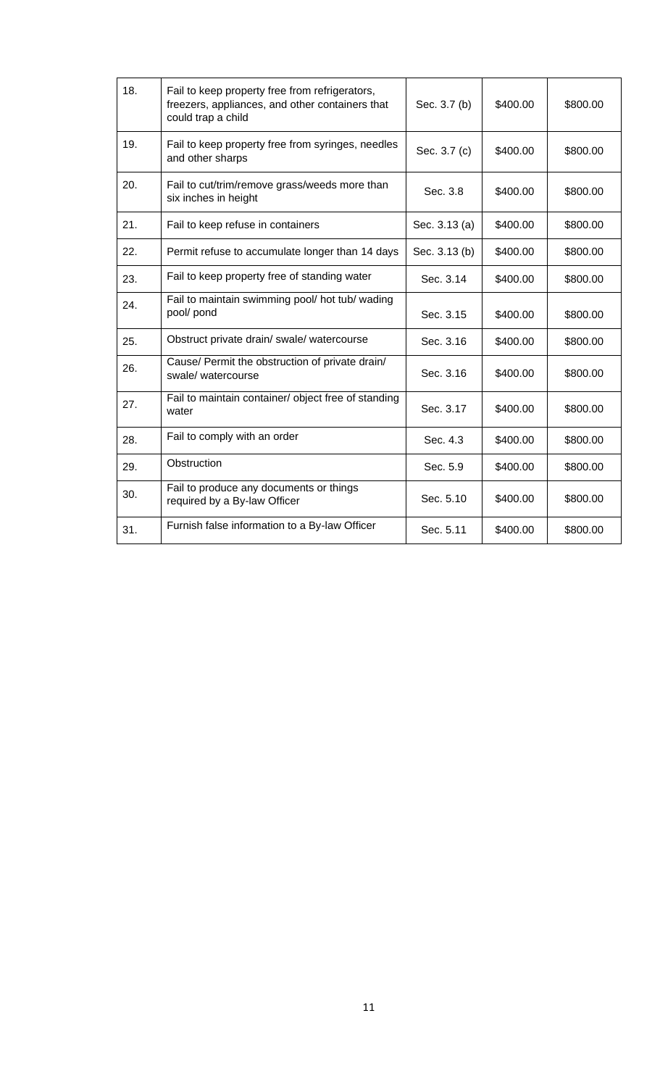| 18. | Fail to keep property free from refrigerators,<br>freezers, appliances, and other containers that<br>could trap a child | Sec. 3.7 (b)  | \$400.00 | \$800.00 |
|-----|-------------------------------------------------------------------------------------------------------------------------|---------------|----------|----------|
| 19. | Fail to keep property free from syringes, needles<br>and other sharps                                                   | Sec. 3.7 (c)  | \$400.00 | \$800.00 |
| 20. | Fail to cut/trim/remove grass/weeds more than<br>six inches in height                                                   | Sec. 3.8      | \$400.00 | \$800.00 |
| 21. | Fail to keep refuse in containers                                                                                       | Sec. 3.13 (a) | \$400.00 | \$800.00 |
| 22. | Permit refuse to accumulate longer than 14 days                                                                         | Sec. 3.13 (b) | \$400.00 | \$800.00 |
| 23. | Fail to keep property free of standing water                                                                            | Sec. 3.14     | \$400.00 | \$800.00 |
| 24. | Fail to maintain swimming pool/ hot tub/ wading<br>pool/ pond                                                           | Sec. 3.15     | \$400.00 | \$800.00 |
| 25. | Obstruct private drain/ swale/ watercourse                                                                              | Sec. 3.16     | \$400.00 | \$800.00 |
| 26. | Cause/ Permit the obstruction of private drain/<br>swale/watercourse                                                    | Sec. 3.16     | \$400.00 | \$800.00 |
| 27. | Fail to maintain container/ object free of standing<br>water                                                            | Sec. 3.17     | \$400.00 | \$800.00 |
| 28. | Fail to comply with an order                                                                                            | Sec. 4.3      | \$400.00 | \$800.00 |
| 29. | Obstruction                                                                                                             | Sec. 5.9      | \$400.00 | \$800.00 |
| 30. | Fail to produce any documents or things<br>required by a By-law Officer                                                 | Sec. 5.10     | \$400.00 | \$800.00 |
| 31. | Furnish false information to a By-law Officer                                                                           | Sec. 5.11     | \$400.00 | \$800.00 |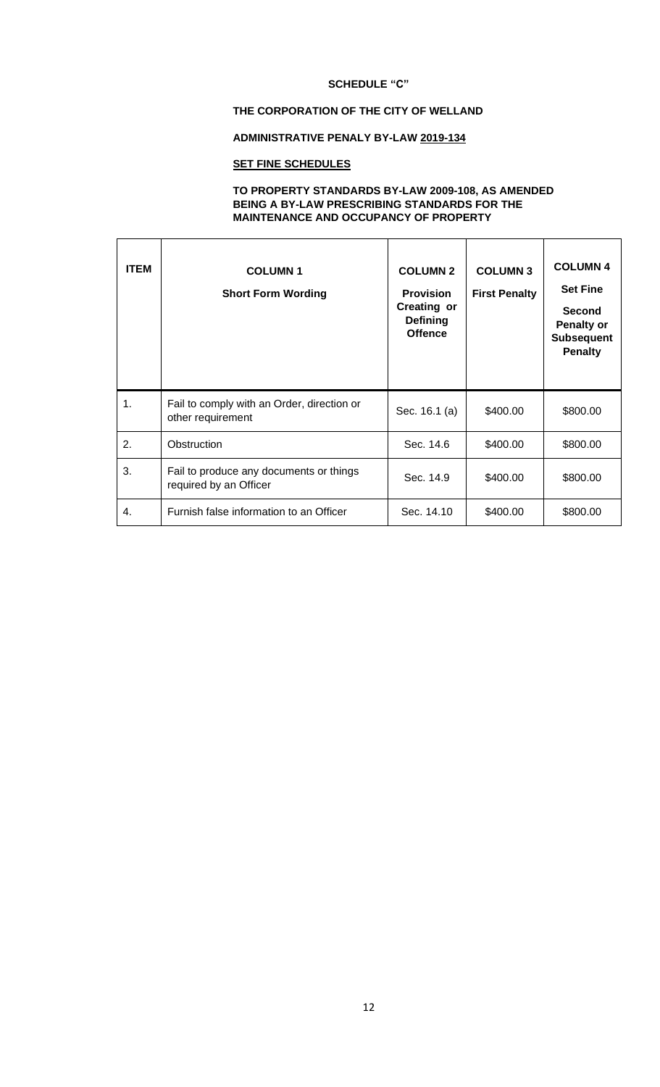### **THE CORPORATION OF THE CITY OF WELLAND**

### **ADMINISTRATIVE PENALY BY-LAW 2019-134**

# **SET FINE SCHEDULES**

### **TO PROPERTY STANDARDS BY-LAW 2009-108, AS AMENDED BEING A BY-LAW PRESCRIBING STANDARDS FOR THE MAINTENANCE AND OCCUPANCY OF PROPERTY**

| <b>ITEM</b>   | <b>COLUMN1</b><br><b>Short Form Wording</b>                       | <b>COLUMN 2</b><br><b>Provision</b><br><b>Creating or</b><br><b>Defining</b><br><b>Offence</b> | <b>COLUMN 3</b><br><b>First Penalty</b> | <b>COLUMN 4</b><br><b>Set Fine</b><br><b>Second</b><br><b>Penalty or</b><br><b>Subsequent</b><br><b>Penalty</b> |
|---------------|-------------------------------------------------------------------|------------------------------------------------------------------------------------------------|-----------------------------------------|-----------------------------------------------------------------------------------------------------------------|
| $\mathbf 1$ . | Fail to comply with an Order, direction or<br>other requirement   | Sec. 16.1 (a)                                                                                  | \$400.00                                | \$800.00                                                                                                        |
| 2.            | Obstruction                                                       | Sec. 14.6                                                                                      | \$400.00                                | \$800.00                                                                                                        |
| 3.            | Fail to produce any documents or things<br>required by an Officer | Sec. 14.9                                                                                      | \$400.00                                | \$800.00                                                                                                        |
| 4.            | Furnish false information to an Officer                           | Sec. 14.10                                                                                     | \$400.00                                | \$800.00                                                                                                        |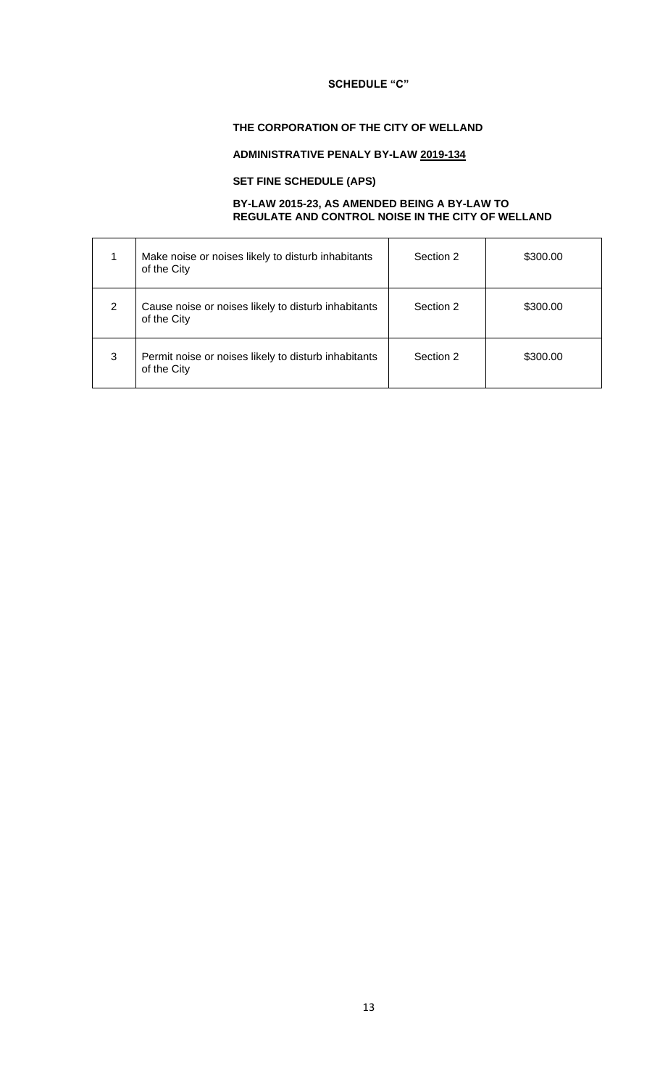### **THE CORPORATION OF THE CITY OF WELLAND**

# **ADMINISTRATIVE PENALY BY-LAW 2019-134**

### **SET FINE SCHEDULE (APS)**

#### **BY-LAW 2015-23, AS AMENDED BEING A BY-LAW TO REGULATE AND CONTROL NOISE IN THE CITY OF WELLAND**

|   | Make noise or noises likely to disturb inhabitants<br>of the City   | Section 2 | \$300.00 |
|---|---------------------------------------------------------------------|-----------|----------|
| 2 | Cause noise or noises likely to disturb inhabitants<br>of the City  | Section 2 | \$300.00 |
| 3 | Permit noise or noises likely to disturb inhabitants<br>of the City | Section 2 | \$300.00 |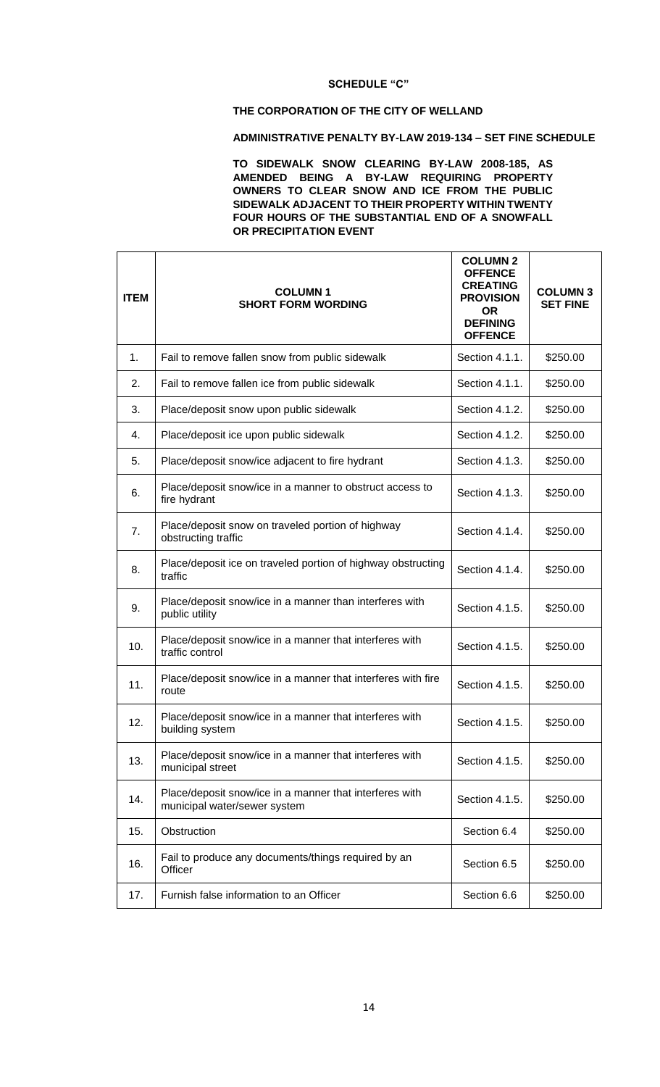### **THE CORPORATION OF THE CITY OF WELLAND**

### **ADMINISTRATIVE PENALTY BY-LAW 2019-134 – SET FINE SCHEDULE**

**TO SIDEWALK SNOW CLEARING BY-LAW 2008-185, AS AMENDED BEING A BY-LAW REQUIRING PROPERTY OWNERS TO CLEAR SNOW AND ICE FROM THE PUBLIC SIDEWALK ADJACENT TO THEIR PROPERTY WITHIN TWENTY FOUR HOURS OF THE SUBSTANTIAL END OF A SNOWFALL OR PRECIPITATION EVENT**

| <b>ITEM</b> | <b>COLUMN1</b><br><b>SHORT FORM WORDING</b>                                             | <b>COLUMN 2</b><br><b>OFFENCE</b><br><b>CREATING</b><br><b>PROVISION</b><br><b>OR</b><br><b>DEFINING</b><br><b>OFFENCE</b> | <b>COLUMN 3</b><br><b>SET FINE</b> |
|-------------|-----------------------------------------------------------------------------------------|----------------------------------------------------------------------------------------------------------------------------|------------------------------------|
| 1.          | Fail to remove fallen snow from public sidewalk                                         | Section 4.1.1.                                                                                                             | \$250.00                           |
| 2.          | Fail to remove fallen ice from public sidewalk                                          | Section 4.1.1.                                                                                                             | \$250.00                           |
| 3.          | Place/deposit snow upon public sidewalk                                                 | Section 4.1.2.                                                                                                             | \$250.00                           |
| 4.          | Place/deposit ice upon public sidewalk                                                  | Section 4.1.2.                                                                                                             | \$250.00                           |
| 5.          | Place/deposit snow/ice adjacent to fire hydrant                                         | Section 4.1.3.                                                                                                             | \$250.00                           |
| 6.          | Place/deposit snow/ice in a manner to obstruct access to<br>fire hydrant                | Section 4.1.3.                                                                                                             | \$250.00                           |
| 7.          | Place/deposit snow on traveled portion of highway<br>obstructing traffic                | Section 4.1.4.                                                                                                             | \$250.00                           |
| 8.          | Place/deposit ice on traveled portion of highway obstructing<br>traffic                 | Section 4.1.4.                                                                                                             | \$250.00                           |
| 9.          | Place/deposit snow/ice in a manner than interferes with<br>public utility               | Section 4.1.5.                                                                                                             | \$250.00                           |
| 10.         | Place/deposit snow/ice in a manner that interferes with<br>traffic control              | Section 4.1.5.                                                                                                             | \$250.00                           |
| 11.         | Place/deposit snow/ice in a manner that interferes with fire<br>route                   | Section 4.1.5.                                                                                                             | \$250.00                           |
| 12.         | Place/deposit snow/ice in a manner that interferes with<br>building system              | Section 4.1.5.                                                                                                             | \$250.00                           |
| 13.         | Place/deposit snow/ice in a manner that interferes with<br>municipal street             | Section 4.1.5.                                                                                                             | \$250.00                           |
| 14.         | Place/deposit snow/ice in a manner that interferes with<br>municipal water/sewer system | Section 4.1.5.                                                                                                             | \$250.00                           |
| 15.         | Obstruction                                                                             | Section 6.4                                                                                                                | \$250.00                           |
| 16.         | Fail to produce any documents/things required by an<br>Officer                          | Section 6.5                                                                                                                | \$250.00                           |
| 17.         | Furnish false information to an Officer                                                 | Section 6.6                                                                                                                | \$250.00                           |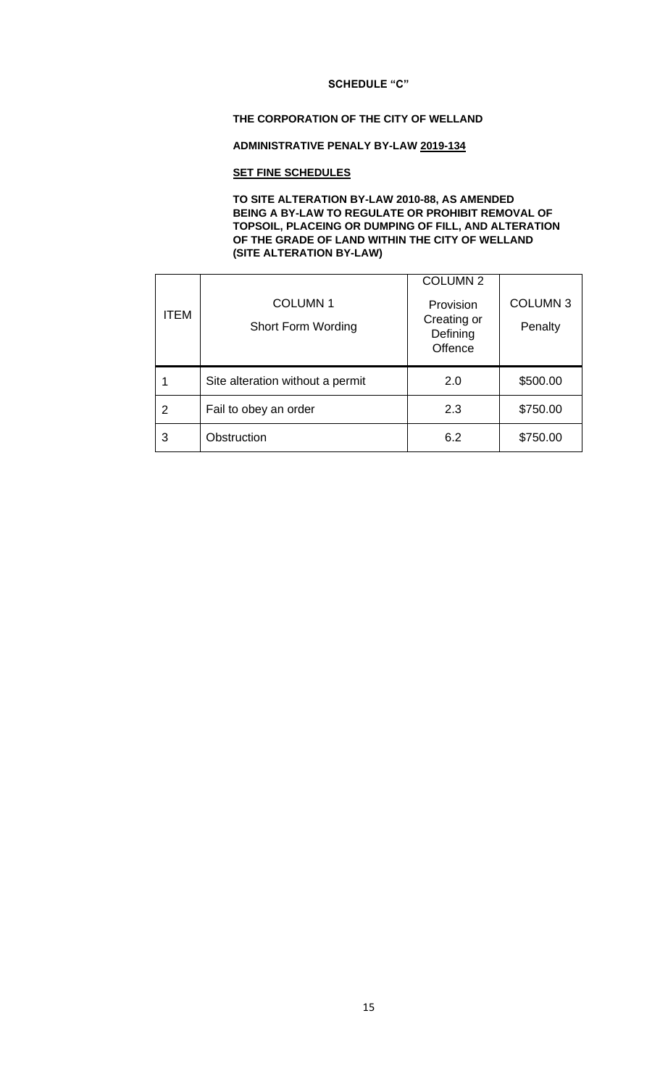#### **THE CORPORATION OF THE CITY OF WELLAND**

### **ADMINISTRATIVE PENALY BY-LAW 2019-134**

### **SET FINE SCHEDULES**

#### **TO SITE ALTERATION BY-LAW 2010-88, AS AMENDED BEING A BY-LAW TO REGULATE OR PROHIBIT REMOVAL OF TOPSOIL, PLACEING OR DUMPING OF FILL, AND ALTERATION OF THE GRADE OF LAND WITHIN THE CITY OF WELLAND (SITE ALTERATION BY-LAW)**

| <b>ITEM</b> | <b>COLUMN1</b><br><b>Short Form Wording</b> | <b>COLUMN 2</b><br>Provision<br>Creating or<br>Defining | <b>COLUMN 3</b><br>Penalty |
|-------------|---------------------------------------------|---------------------------------------------------------|----------------------------|
|             |                                             | Offence                                                 |                            |
| 1           | Site alteration without a permit            | 2.0                                                     | \$500.00                   |
| 2           | Fail to obey an order                       | 2.3                                                     | \$750.00                   |
| 3           | Obstruction                                 | 6.2                                                     | \$750.00                   |